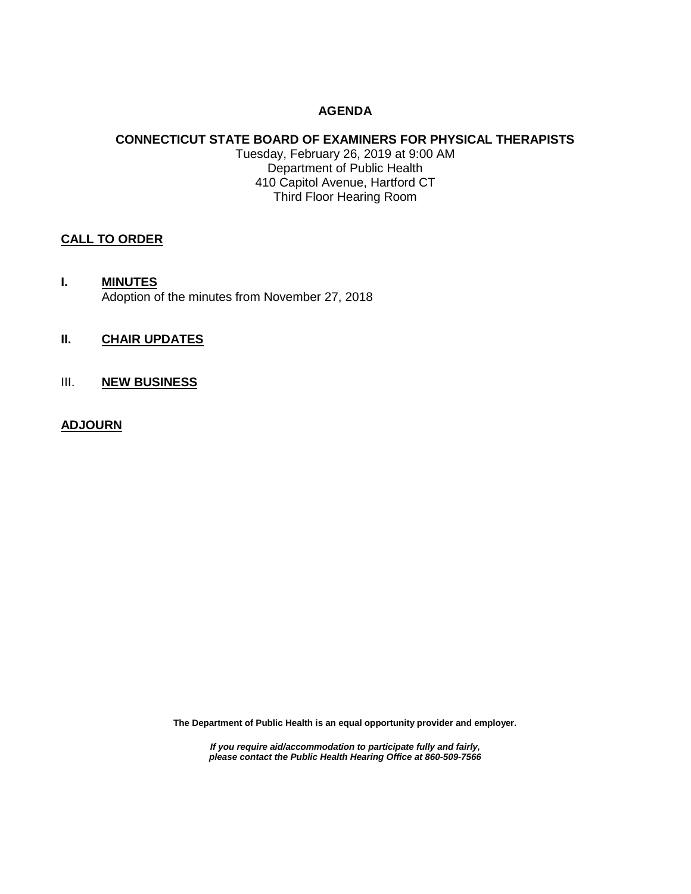# **AGENDA**

## **CONNECTICUT STATE BOARD OF EXAMINERS FOR PHYSICAL THERAPISTS** Tuesday, February 26, 2019 at 9:00 AM Department of Public Health 410 Capitol Avenue, Hartford CT Third Floor Hearing Room

#### **CALL TO ORDER**

**I. MINUTES** Adoption of the minutes from November 27, 2018

# **II. CHAIR UPDATES**

III. **NEW BUSINESS**

#### **ADJOURN**

**The Department of Public Health is an equal opportunity provider and employer.**

*If you require aid/accommodation to participate fully and fairly, please contact the Public Health Hearing Office at 860-509-7566*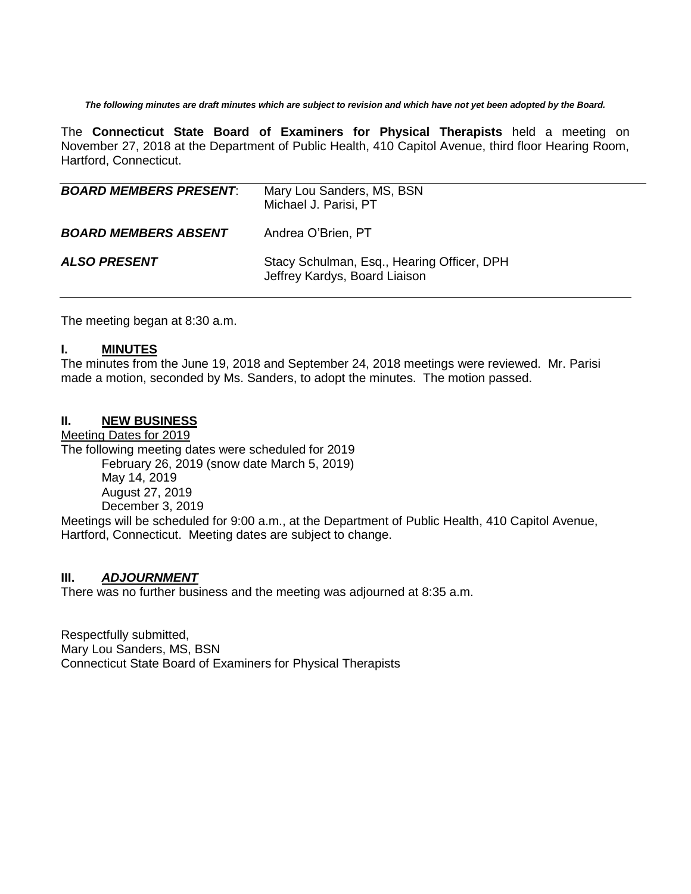*The following minutes are draft minutes which are subject to revision and which have not yet been adopted by the Board.*

The **Connecticut State Board of Examiners for Physical Therapists** held a meeting on November 27, 2018 at the Department of Public Health, 410 Capitol Avenue, third floor Hearing Room, Hartford, Connecticut.

| <b>BOARD MEMBERS PRESENT:</b> | Mary Lou Sanders, MS, BSN<br>Michael J. Parisi, PT                          |
|-------------------------------|-----------------------------------------------------------------------------|
| <b>BOARD MEMBERS ABSENT</b>   | Andrea O'Brien, PT                                                          |
| <b>ALSO PRESENT</b>           | Stacy Schulman, Esq., Hearing Officer, DPH<br>Jeffrey Kardys, Board Liaison |

The meeting began at 8:30 a.m.

#### **I. MINUTES**

The minutes from the June 19, 2018 and September 24, 2018 meetings were reviewed. Mr. Parisi made a motion, seconded by Ms. Sanders, to adopt the minutes. The motion passed.

#### **II. NEW BUSINESS**

Meeting Dates for 2019 The following meeting dates were scheduled for 2019 February 26, 2019 (snow date March 5, 2019) May 14, 2019 August 27, 2019 December 3, 2019 Meetings will be scheduled for 9:00 a.m., at the Department of Public Health, 410 Capitol Avenue,

Hartford, Connecticut. Meeting dates are subject to change.

# **III.** *ADJOURNMENT*

There was no further business and the meeting was adjourned at 8:35 a.m.

Respectfully submitted, Mary Lou Sanders, MS, BSN Connecticut State Board of Examiners for Physical Therapists